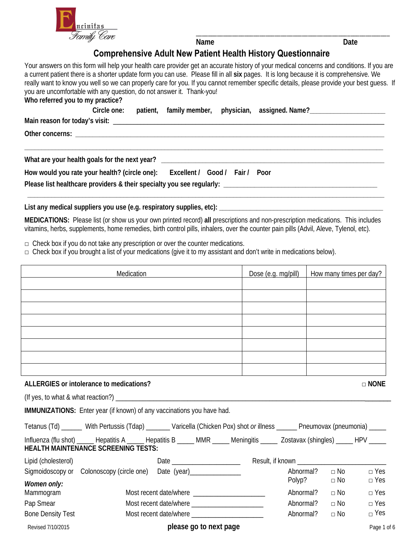

Name **Name** Date **Date** 

\_\_\_\_\_\_\_\_\_\_\_\_\_\_\_\_\_\_\_\_\_\_\_\_\_\_\_\_\_\_\_\_\_\_\_\_\_\_\_\_\_\_\_\_\_\_\_\_\_\_\_\_\_\_\_\_\_\_\_\_\_\_\_\_

# **Comprehensive Adult New Patient Health History Questionnaire**

 Your answers on this form will help your health care provider get an accurate history of your medical concerns and conditions. If you are a current patient there is a shorter update form you can use. Please fill in all **six** pages. It is long because it is comprehensive. We you are uncomfortable with any question, do not answer it. Thank-you! really want to know you well so we can properly care for you. If you cannot remember specific details, please provide your best guess. If

**Who referred you to my practice?**

|                                | tircle one: | patient, | , family member, | physician, assigned. Name? |
|--------------------------------|-------------|----------|------------------|----------------------------|
| Main reason for today's visit: |             |          |                  |                            |

**\_\_\_\_\_\_\_\_\_\_\_\_\_\_\_\_\_\_\_\_\_\_\_\_\_\_\_\_\_\_\_\_\_\_\_\_\_\_\_\_\_\_\_\_\_\_\_\_\_\_\_\_\_\_\_\_\_\_\_\_\_\_\_\_\_\_\_\_\_\_\_\_\_\_\_\_\_\_\_\_\_\_\_\_\_\_\_\_\_\_\_\_\_\_\_\_\_\_\_\_\_\_\_\_\_** 

**Other concerns: \_\_\_\_\_\_\_\_\_\_\_\_\_\_\_\_\_\_\_\_\_\_\_\_\_\_\_\_\_\_\_\_\_\_\_\_\_\_\_\_\_\_\_\_\_\_\_\_\_\_\_\_\_\_\_\_\_\_\_\_\_\_\_\_\_\_\_\_\_\_\_\_\_\_\_\_\_\_\_\_\_\_\_\_\_\_\_\_\_\_ What are your health goals for the next year? \_\_\_\_\_\_\_\_\_\_\_\_\_\_\_\_\_\_\_\_\_\_\_\_\_\_\_\_\_\_\_\_\_\_\_\_\_\_\_\_\_\_\_\_\_\_\_\_\_\_\_\_\_\_\_\_\_\_\_\_\_\_\_\_\_** 

**How would you rate your health? (circle one): Excellent / Good / Fair / Poor** 

**Please list healthcare providers & their specialty you see regularly: \_\_\_\_\_\_\_\_\_\_\_\_\_\_\_\_\_\_\_\_\_\_\_\_\_\_\_\_\_\_\_\_\_\_\_\_\_\_\_\_\_\_\_\_\_** 

 **List any medical suppliers you use (e.g. respiratory supplies, etc): \_\_\_\_\_\_\_\_\_\_\_\_\_\_\_\_\_\_\_\_\_\_\_\_\_\_\_\_\_\_\_\_\_\_\_\_\_\_\_\_\_\_\_\_\_\_\_\_ MEDICATIONS:** Please list (or show us your own printed record) **all** prescriptions and non-prescription medications. This includes vitamins, herbs, supplements, home remedies, birth control pills, inhalers, over the counter pain pills (Advil, Aleve, Tylenol, etc).

**\_\_\_\_\_\_\_\_\_\_\_\_\_\_\_\_\_\_\_\_\_\_\_\_\_\_\_\_\_\_\_\_\_\_\_\_\_\_\_\_\_\_\_\_\_\_\_\_\_\_\_\_\_\_\_\_\_\_\_\_\_\_\_\_\_\_\_\_\_\_\_\_\_\_\_\_\_\_\_\_\_\_\_\_\_\_\_\_\_\_\_\_\_\_\_\_\_\_\_\_\_\_\_\_** 

**□** Check box if you do not take any prescription or over the counter medications.

 $\Box$  Check box if you brought a list of your medications (give it to my assistant and don't write in medications below).

| Medication | Dose (e.g. mg/pill) | How many times per day? |
|------------|---------------------|-------------------------|
|            |                     |                         |
|            |                     |                         |
|            |                     |                         |
|            |                     |                         |
|            |                     |                         |
|            |                     |                         |
|            |                     |                         |
|            |                     |                         |

#### **ALLERGIES or intolerance to medications?** □ **NONE**

(If yes, to what & what reaction?)  $\frac{1}{\sqrt{1-\frac{1}{2}}}\$ 

**IMMUNIZATIONS:** Enter year (if known) of any vaccinations you have had.

Tetanus (Td) \_\_\_\_\_\_ With Pertussis (Tdap) \_\_\_\_\_\_\_ Varicella (Chicken Pox) shot *or* illness \_\_\_\_\_\_ Pneumovax (pneumonia) \_\_\_\_\_

| Influenza (flu shot)                       | Hepatitis A | Hepatitis B | MMR | <b>Meningitis</b> | Zostavax (shingles) ______ | <b>HPV</b> |
|--------------------------------------------|-------------|-------------|-----|-------------------|----------------------------|------------|
| <b>HEALTH MAINTENANCE SCREENING TESTS:</b> |             |             |     |                   |                            |            |
|                                            |             |             |     |                   |                            |            |

| Lipid (cholesterol)      |                          | Date                   | Result, if known |           |                              |
|--------------------------|--------------------------|------------------------|------------------|-----------|------------------------------|
| Sigmoidoscopy or         | Colonoscopy (circle one) | Date $(year)$          | Abnormal?        | $\Box$ No | $\Box$ Yes                   |
| Women only:              |                          |                        | Polyp?           | $\Box$ No | $\Box$ Yes                   |
| Mammogram                |                          | Most recent date/where | Abnormal?        | $\Box$ No | $\Box$ Yes                   |
| Pap Smear                |                          | Most recent date/where | Abnormal?        | $\Box$ No | $\Box$ Yes                   |
| <b>Bone Density Test</b> |                          | Most recent date/where | Abnormal?        | $\Box$ No | $\overline{\phantom{a}}$ Yes |
| Revised 7/10/2015        |                          | please go to next page |                  |           | Page 1 of 6                  |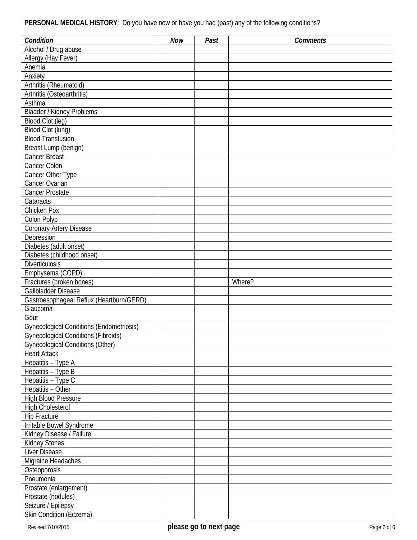#### **PERSONAL MEDICAL HISTORY**: Do you have now or have you had (past) any of the following conditions?

| Condition                                       | Now | Past | <b>Comments</b> |
|-------------------------------------------------|-----|------|-----------------|
| Alcohol / Drug abuse                            |     |      |                 |
| Allergy (Hay Fever)                             |     |      |                 |
| Anemia                                          |     |      |                 |
| Anxiety                                         |     |      |                 |
| Arthritis (Rheumatoid)                          |     |      |                 |
| Arthritis (Osteoarthritis)                      |     |      |                 |
| Asthma                                          |     |      |                 |
| <b>Bladder / Kidney Problems</b>                |     |      |                 |
| Blood Clot (leg)                                |     |      |                 |
| Blood Clot (lung)                               |     |      |                 |
| <b>Blood Transfusion</b>                        |     |      |                 |
| Breast Lump (benign)                            |     |      |                 |
| <b>Cancer Breast</b>                            |     |      |                 |
| Cancer Colon                                    |     |      |                 |
|                                                 |     |      |                 |
| Cancer Other Type<br><b>Cancer Ovarian</b>      |     |      |                 |
|                                                 |     |      |                 |
| <b>Cancer Prostate</b>                          |     |      |                 |
| Cataracts                                       |     |      |                 |
| Chicken Pox                                     |     |      |                 |
| Colon Polyp                                     |     |      |                 |
| Coronary Artery Disease                         |     |      |                 |
| Depression                                      |     |      |                 |
| Diabetes (adult onset)                          |     |      |                 |
| Diabetes (childhood onset)                      |     |      |                 |
| <b>Diverticulosis</b>                           |     |      |                 |
| Emphysema (COPD)                                |     |      |                 |
| Fractures (broken bones)                        |     |      | Where?          |
| Gallbladder Disease                             |     |      |                 |
| Gastroesophageal Reflux (Heartburn/GERD)        |     |      |                 |
| Glaucoma                                        |     |      |                 |
| Gout                                            |     |      |                 |
| <b>Gynecological Conditions (Endometriosis)</b> |     |      |                 |
| <b>Gynecological Conditions (Fibroids)</b>      |     |      |                 |
| <b>Gynecological Conditions (Other)</b>         |     |      |                 |
| <b>Heart Attack</b>                             |     |      |                 |
| Hepatitis - Type A                              |     |      |                 |
| Hepatitis - Type B                              |     |      |                 |
| Hepatitis - Type C                              |     |      |                 |
| Hepatitis - Other                               |     |      |                 |
| <b>High Blood Pressure</b>                      |     |      |                 |
| <b>High Cholesterol</b>                         |     |      |                 |
| <b>Hip Fracture</b>                             |     |      |                 |
| Irritable Bowel Syndrome                        |     |      |                 |
| Kidney Disease / Failure                        |     |      |                 |
| <b>Kidney Stones</b>                            |     |      |                 |
| Liver Disease                                   |     |      |                 |
| Migraine Headaches                              |     |      |                 |
| Osteoporosis                                    |     |      |                 |
| Pneumonia                                       |     |      |                 |
|                                                 |     |      |                 |
| Prostate (enlargement)                          |     |      |                 |
| Prostate (nodules)                              |     |      |                 |
| Seizure / Epilepsy                              |     |      |                 |
| Skin Condition (Eczema)                         |     |      |                 |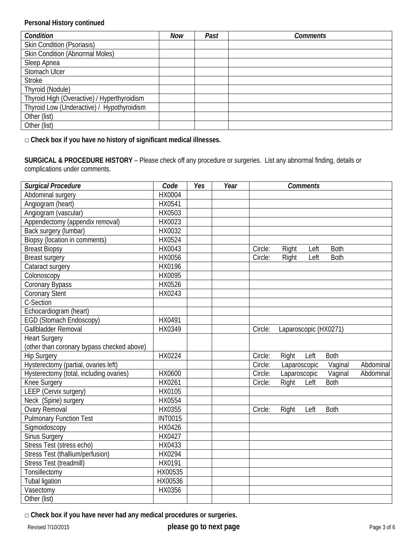## **Personal History continued**

| Condition                                   | <b>Now</b> | Past | <b>Comments</b> |
|---------------------------------------------|------------|------|-----------------|
| Skin Condition (Psoriasis)                  |            |      |                 |
| <b>Skin Condition (Abnormal Moles)</b>      |            |      |                 |
| Sleep Apnea                                 |            |      |                 |
| Stomach Ulcer                               |            |      |                 |
| <b>Stroke</b>                               |            |      |                 |
| Thyroid (Nodule)                            |            |      |                 |
| Thyroid High (Overactive) / Hyperthyroidism |            |      |                 |
| Thyroid Low (Underactive) / Hypothyroidism  |            |      |                 |
| Other (list)                                |            |      |                 |
| Other (list)                                |            |      |                 |

□ **Check box if you have no history of significant medical illnesses.** 

**SURGICAL & PROCEDURE HISTORY** – Please check off any procedure or surgeries. List any abnormal finding, details or complications under comments.

| <b>Surgical Procedure</b>                  | Code           | Yes | Year | <b>Comments</b>                                 |
|--------------------------------------------|----------------|-----|------|-------------------------------------------------|
| Abdominal surgery                          | HX0004         |     |      |                                                 |
| Angiogram (heart)                          | HX0541         |     |      |                                                 |
| Angiogram (vascular)                       | HX0503         |     |      |                                                 |
| Appendectomy (appendix removal)            | HX0023         |     |      |                                                 |
| Back surgery (lumbar)                      | HX0032         |     |      |                                                 |
| <b>Biopsy (location in comments)</b>       | HX0524         |     |      |                                                 |
| <b>Breast Biopsy</b>                       | HX0043         |     |      | Circle:<br>Right<br>Both<br>Left                |
| <b>Breast surgery</b>                      | HX0056         |     |      | Circle:<br>Right<br>Left<br><b>Both</b>         |
| Cataract surgery                           | HX0196         |     |      |                                                 |
| Colonoscopy                                | HX0095         |     |      |                                                 |
| Coronary Bypass                            | HX0526         |     |      |                                                 |
| <b>Coronary Stent</b>                      | HX0243         |     |      |                                                 |
| C-Section                                  |                |     |      |                                                 |
| Echocardiogram (heart)                     |                |     |      |                                                 |
| <b>EGD (Stomach Endoscopy)</b>             | HX0491         |     |      |                                                 |
| Gallbladder Removal                        | HX0349         |     |      | Circle:<br>Laparoscopic (HX0271)                |
| <b>Heart Surgery</b>                       |                |     |      |                                                 |
| (other than coronary bypass checked above) |                |     |      |                                                 |
| <b>Hip Surgery</b>                         | HX0224         |     |      | Circle:<br><b>Both</b><br>Right<br>Left         |
| Hysterectomy (partial, ovaries left)       |                |     |      | Circle:<br>Laparoscopic<br>Abdominal<br>Vaginal |
| Hysterectomy (total, including ovaries)    | HX0600         |     |      | Circle:<br>Vaginal<br>Abdominal<br>Laparoscopic |
| Knee Surgery                               | HX0261         |     |      | Circle:<br><b>Both</b><br>Right<br>Left         |
| LEEP (Cervix surgery)                      | HX0105         |     |      |                                                 |
| Neck (Spine) surgery                       | HX0554         |     |      |                                                 |
| <b>Ovary Removal</b>                       | HX0355         |     |      | Circle:<br><b>Both</b><br>Right<br>Left         |
| <b>Pulmonary Function Test</b>             | <b>INT0015</b> |     |      |                                                 |
| Sigmoidoscopy                              | HX0426         |     |      |                                                 |
| <b>Sinus Surgery</b>                       | HX0427         |     |      |                                                 |
| Stress Test (stress echo)                  | HX0433         |     |      |                                                 |
| Stress Test (thallium/perfusion)           | HX0294         |     |      |                                                 |
| Stress Test (treadmill)                    | HX0191         |     |      |                                                 |
| Tonsillectomy                              | HX00535        |     |      |                                                 |
| <b>Tubal ligation</b>                      | HX00536        |     |      |                                                 |
| Vasectomy                                  | HX0356         |     |      |                                                 |
| Other (list)                               |                |     |      |                                                 |

□ **Check box if you have never had any medical procedures or surgeries.**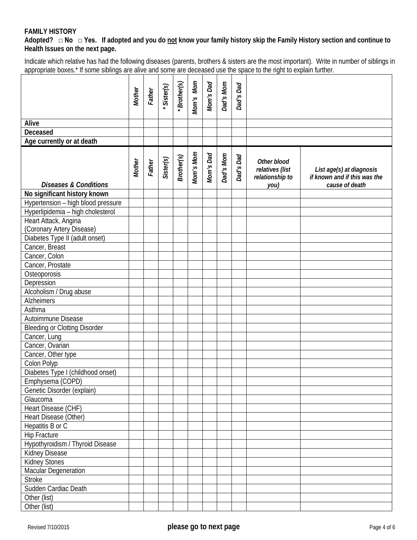## **FAMILY HISTORY**

# **FAMILY HISTORY Adopted? □ No □ Yes. If adopted and you do not know your family history skip the Family History section and continue to Health Issues on the next page.**

 Indicate which relative has had the following diseases (parents, brothers & sisters are the most important). Write in number of siblings in appropriate boxes.\* If some siblings are alive and some are deceased use the space to the right to explain further.

|                                                | Mother | Father | Sister(s) | Brother(s) | Mom's Mom | Mom's Dad | Dad's Mom | Dad's Dad |                                                           |                                                                            |
|------------------------------------------------|--------|--------|-----------|------------|-----------|-----------|-----------|-----------|-----------------------------------------------------------|----------------------------------------------------------------------------|
| Alive                                          |        |        |           |            |           |           |           |           |                                                           |                                                                            |
| Deceased                                       |        |        |           |            |           |           |           |           |                                                           |                                                                            |
| Age currently or at death                      |        |        |           |            |           |           |           |           |                                                           |                                                                            |
| <b>Diseases &amp; Conditions</b>               | Mother | Father | Sister(s) | Brother(s) | Mom's Mom | Mom's Dad | Dad's Mom | Dad's Dad | Other blood<br>relatives (list<br>relationship to<br>you) | List age(s) at diagnosis<br>if known and if this was the<br>cause of death |
| No significant history known                   |        |        |           |            |           |           |           |           |                                                           |                                                                            |
| Hypertension - high blood pressure             |        |        |           |            |           |           |           |           |                                                           |                                                                            |
| Hyperlipidemia - high cholesterol              |        |        |           |            |           |           |           |           |                                                           |                                                                            |
| Heart Attack, Angina                           |        |        |           |            |           |           |           |           |                                                           |                                                                            |
| (Coronary Artery Disease)                      |        |        |           |            |           |           |           |           |                                                           |                                                                            |
| Diabetes Type II (adult onset)                 |        |        |           |            |           |           |           |           |                                                           |                                                                            |
| Cancer, Breast                                 |        |        |           |            |           |           |           |           |                                                           |                                                                            |
| Cancer, Colon                                  |        |        |           |            |           |           |           |           |                                                           |                                                                            |
| Cancer, Prostate                               |        |        |           |            |           |           |           |           |                                                           |                                                                            |
| Osteoporosis                                   |        |        |           |            |           |           |           |           |                                                           |                                                                            |
| Depression                                     |        |        |           |            |           |           |           |           |                                                           |                                                                            |
| Alcoholism / Drug abuse                        |        |        |           |            |           |           |           |           |                                                           |                                                                            |
| <b>Alzheimers</b>                              |        |        |           |            |           |           |           |           |                                                           |                                                                            |
| Asthma                                         |        |        |           |            |           |           |           |           |                                                           |                                                                            |
| Autoimmune Disease                             |        |        |           |            |           |           |           |           |                                                           |                                                                            |
| <b>Bleeding or Clotting Disorder</b>           |        |        |           |            |           |           |           |           |                                                           |                                                                            |
| Cancer, Lung                                   |        |        |           |            |           |           |           |           |                                                           |                                                                            |
| Cancer, Ovarian                                |        |        |           |            |           |           |           |           |                                                           |                                                                            |
| Cancer, Other type<br>Colon Polyp              |        |        |           |            |           |           |           |           |                                                           |                                                                            |
| Diabetes Type I (childhood onset)              |        |        |           |            |           |           |           |           |                                                           |                                                                            |
|                                                |        |        |           |            |           |           |           |           |                                                           |                                                                            |
| Emphysema (COPD)<br>Genetic Disorder (explain) |        |        |           |            |           |           |           |           |                                                           |                                                                            |
| Glaucoma                                       |        |        |           |            |           |           |           |           |                                                           |                                                                            |
| Heart Disease (CHF)                            |        |        |           |            |           |           |           |           |                                                           |                                                                            |
| Heart Disease (Other)                          |        |        |           |            |           |           |           |           |                                                           |                                                                            |
| Hepatitis B or C                               |        |        |           |            |           |           |           |           |                                                           |                                                                            |
| <b>Hip Fracture</b>                            |        |        |           |            |           |           |           |           |                                                           |                                                                            |
| Hypothyroidism / Thyroid Disease               |        |        |           |            |           |           |           |           |                                                           |                                                                            |
| Kidney Disease                                 |        |        |           |            |           |           |           |           |                                                           |                                                                            |
| <b>Kidney Stones</b>                           |        |        |           |            |           |           |           |           |                                                           |                                                                            |
| Macular Degeneration                           |        |        |           |            |           |           |           |           |                                                           |                                                                            |
| Stroke                                         |        |        |           |            |           |           |           |           |                                                           |                                                                            |
| Sudden Cardiac Death                           |        |        |           |            |           |           |           |           |                                                           |                                                                            |
| Other (list)                                   |        |        |           |            |           |           |           |           |                                                           |                                                                            |
| Other (list)                                   |        |        |           |            |           |           |           |           |                                                           |                                                                            |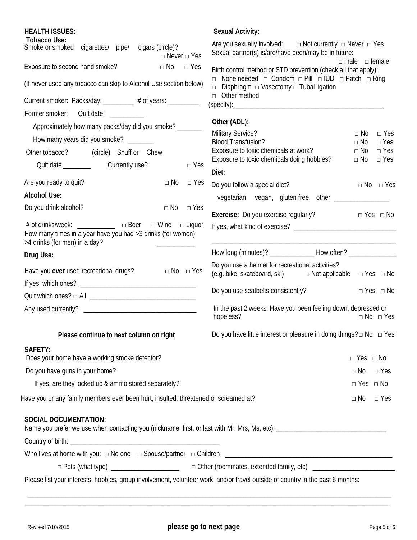| <b>HEALTH ISSUES:</b>                                                                                                                                  | <b>Sexual Activity:</b>                                                                                                                                      |  |  |
|--------------------------------------------------------------------------------------------------------------------------------------------------------|--------------------------------------------------------------------------------------------------------------------------------------------------------------|--|--|
| <b>Tobacco Use:</b><br>Smoke or smoked cigarettes/ pipe/ cigars (circle)?<br>$\Box$ Never $\Box$ Yes                                                   | Are you sexually involved: $\Box$ Not currently $\Box$ Never $\Box$ Yes<br>Sexual partner(s) is/are/have been/may be in future:<br>$\Box$ male $\Box$ female |  |  |
| Exposure to second hand smoke?<br>$\Box$ No<br>$\Box$ Yes                                                                                              | Birth control method or STD prevention (check all that apply):                                                                                               |  |  |
| (If never used any tobacco can skip to Alcohol Use section below)                                                                                      | $\Box$ None needed $\Box$ Condom $\Box$ Pill $\Box$ IUD $\Box$ Patch $\Box$ Ring<br>$\Box$ Diaphragm $\Box$ Vasectomy $\Box$ Tubal ligation                  |  |  |
| Current smoker: Packs/day: ________ # of years: ________                                                                                               | $\Box$ Other method                                                                                                                                          |  |  |
| Former smoker: Quit date: _________                                                                                                                    |                                                                                                                                                              |  |  |
| Approximately how many packs/day did you smoke? _______                                                                                                | Other (ADL):                                                                                                                                                 |  |  |
| How many years did you smoke? _________                                                                                                                | <b>Military Service?</b><br>$\Box$ Yes<br>$\Box$ No<br><b>Blood Transfusion?</b><br>$\Box$ Yes<br>$\Box$ No                                                  |  |  |
| Other tobacco? (circle) Snuff or Chew                                                                                                                  | Exposure to toxic chemicals at work?<br>$\Box$ No $\Box$ Yes                                                                                                 |  |  |
| $\Box$ Yes                                                                                                                                             | Exposure to toxic chemicals doing hobbies?<br>$\Box$ Yes<br>$\Box$ No                                                                                        |  |  |
|                                                                                                                                                        | Diet:                                                                                                                                                        |  |  |
| $\Box$ No<br>Are you ready to quit?<br>$\Box$ Yes                                                                                                      | Do you follow a special diet?<br>$\Box$ No $\Box$ Yes                                                                                                        |  |  |
| <b>Alcohol Use:</b>                                                                                                                                    | vegetarian, vegan, gluten free, other ________________                                                                                                       |  |  |
| $\Box$ No $\Box$ Yes<br>Do you drink alcohol?                                                                                                          | Exercise: Do you exercise regularly?<br>$\Box$ Yes $\Box$ No                                                                                                 |  |  |
| # of drinks/week: _____________ □ Beer □ Wine □ Liquor<br>How many times in a year have you had >3 drinks (for women)<br>>4 drinks (for men) in a day? |                                                                                                                                                              |  |  |
| Drug Use:                                                                                                                                              | How long (minutes)? _________________ How often? _______________                                                                                             |  |  |
| Have you ever used recreational drugs?<br>$\Box$ No $\Box$ Yes                                                                                         | Do you use a helmet for recreational activities?<br>(e.g. bike, skateboard, ski) $\Box$ Not applicable $\Box$ Yes $\Box$ No                                  |  |  |
|                                                                                                                                                        |                                                                                                                                                              |  |  |
|                                                                                                                                                        | Do you use seatbelts consistently?<br>$\Box$ Yes $\Box$ No                                                                                                   |  |  |
|                                                                                                                                                        | In the past 2 weeks: Have you been feeling down, depressed or<br>hopeless?<br>$\Box$ No $\Box$ Yes                                                           |  |  |
| Please continue to next column on right                                                                                                                | Do you have little interest or pleasure in doing things? $\Box$ No $\Box$ Yes                                                                                |  |  |
| SAFETY:<br>Does your home have a working smoke detector?                                                                                               | $\Box$ Yes $\Box$ No                                                                                                                                         |  |  |
| Do you have guns in your home?                                                                                                                         | $\Box$ No $\Box$ Yes                                                                                                                                         |  |  |
| If yes, are they locked up & ammo stored separately?                                                                                                   | $\Box$ Yes $\Box$ No                                                                                                                                         |  |  |
| Have you or any family members ever been hurt, insulted, threatened or screamed at?                                                                    | $\Box$ No $\Box$ Yes                                                                                                                                         |  |  |
| <b>SOCIAL DOCUMENTATION:</b>                                                                                                                           |                                                                                                                                                              |  |  |
|                                                                                                                                                        |                                                                                                                                                              |  |  |
|                                                                                                                                                        |                                                                                                                                                              |  |  |
|                                                                                                                                                        |                                                                                                                                                              |  |  |
| Please list your interests, hobbies, group involvement, volunteer work, and/or travel outside of country in the past 6 months:                         |                                                                                                                                                              |  |  |
|                                                                                                                                                        |                                                                                                                                                              |  |  |
|                                                                                                                                                        | ,我们也不会有什么。""我们的人,我们也不会有什么?""我们的人,我们也不会有什么?""我们的人,我们也不会有什么?""我们的人,我们也不会有什么?""我们的人                                                                             |  |  |